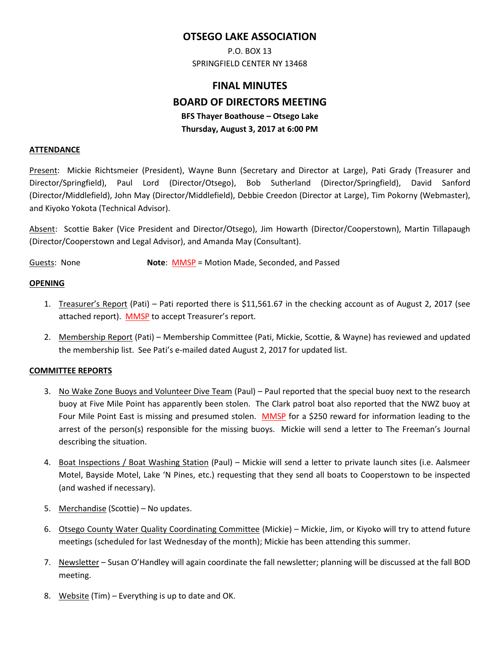# **OTSEGO LAKE ASSOCIATION**

P.O. BOX 13 SPRINGFIELD CENTER NY 13468

# **FINAL MINUTES BOARD OF DIRECTORS MEETING BFS Thayer Boathouse – Otsego Lake Thursday, August 3, 2017 at 6:00 PM**

#### **ATTENDANCE**

Present: Mickie Richtsmeier (President), Wayne Bunn (Secretary and Director at Large), Pati Grady (Treasurer and Director/Springfield), Paul Lord (Director/Otsego), Bob Sutherland (Director/Springfield), David Sanford (Director/Middlefield), John May (Director/Middlefield), Debbie Creedon (Director at Large), Tim Pokorny (Webmaster), and Kiyoko Yokota (Technical Advisor).

Absent: Scottie Baker (Vice President and Director/Otsego), Jim Howarth (Director/Cooperstown), Martin Tillapaugh (Director/Cooperstown and Legal Advisor), and Amanda May (Consultant).

Guests: None **Note**: MMSP = Motion Made, Seconded, and Passed

#### **OPENING**

- 1. Treasurer's Report (Pati) Pati reported there is \$11,561.67 in the checking account as of August 2, 2017 (see attached report). MMSP to accept Treasurer's report.
- 2. Membership Report (Pati) Membership Committee (Pati, Mickie, Scottie, & Wayne) has reviewed and updated the membership list. See Pati's e-mailed dated August 2, 2017 for updated list.

#### **COMMITTEE REPORTS**

- 3. No Wake Zone Buoys and Volunteer Dive Team (Paul) Paul reported that the special buoy next to the research buoy at Five Mile Point has apparently been stolen. The Clark patrol boat also reported that the NWZ buoy at Four Mile Point East is missing and presumed stolen. MMSP for a \$250 reward for information leading to the arrest of the person(s) responsible for the missing buoys. Mickie will send a letter to The Freeman's Journal describing the situation.
- 4. Boat Inspections / Boat Washing Station (Paul) Mickie will send a letter to private launch sites (i.e. Aalsmeer Motel, Bayside Motel, Lake 'N Pines, etc.) requesting that they send all boats to Cooperstown to be inspected (and washed if necessary).
- 5. Merchandise (Scottie) No updates.
- 6. Otsego County Water Quality Coordinating Committee (Mickie) Mickie, Jim, or Kiyoko will try to attend future meetings (scheduled for last Wednesday of the month); Mickie has been attending this summer.
- 7. Newsletter Susan O'Handley will again coordinate the fall newsletter; planning will be discussed at the fall BOD meeting.
- 8. Website (Tim) Everything is up to date and OK.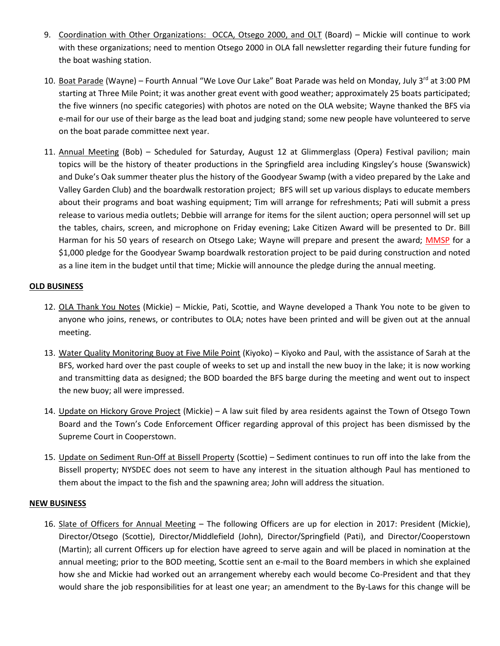- 9. Coordination with Other Organizations: OCCA, Otsego 2000, and OLT (Board) Mickie will continue to work with these organizations; need to mention Otsego 2000 in OLA fall newsletter regarding their future funding for the boat washing station.
- 10. Boat Parade (Wayne) Fourth Annual "We Love Our Lake" Boat Parade was held on Monday, July 3<sup>rd</sup> at 3:00 PM starting at Three Mile Point; it was another great event with good weather; approximately 25 boats participated; the five winners (no specific categories) with photos are noted on the OLA website; Wayne thanked the BFS via e-mail for our use of their barge as the lead boat and judging stand; some new people have volunteered to serve on the boat parade committee next year.
- 11. Annual Meeting (Bob) Scheduled for Saturday, August 12 at Glimmerglass (Opera) Festival pavilion; main topics will be the history of theater productions in the Springfield area including Kingsley's house (Swanswick) and Duke's Oak summer theater plus the history of the Goodyear Swamp (with a video prepared by the Lake and Valley Garden Club) and the boardwalk restoration project; BFS will set up various displays to educate members about their programs and boat washing equipment; Tim will arrange for refreshments; Pati will submit a press release to various media outlets; Debbie will arrange for items for the silent auction; opera personnel will set up the tables, chairs, screen, and microphone on Friday evening; Lake Citizen Award will be presented to Dr. Bill Harman for his 50 years of research on Otsego Lake; Wayne will prepare and present the award; MMSP for a \$1,000 pledge for the Goodyear Swamp boardwalk restoration project to be paid during construction and noted as a line item in the budget until that time; Mickie will announce the pledge during the annual meeting.

## **OLD BUSINESS**

- 12. OLA Thank You Notes (Mickie) Mickie, Pati, Scottie, and Wayne developed a Thank You note to be given to anyone who joins, renews, or contributes to OLA; notes have been printed and will be given out at the annual meeting.
- 13. Water Quality Monitoring Buoy at Five Mile Point (Kiyoko) Kiyoko and Paul, with the assistance of Sarah at the BFS, worked hard over the past couple of weeks to set up and install the new buoy in the lake; it is now working and transmitting data as designed; the BOD boarded the BFS barge during the meeting and went out to inspect the new buoy; all were impressed.
- 14. Update on Hickory Grove Project (Mickie) A law suit filed by area residents against the Town of Otsego Town Board and the Town's Code Enforcement Officer regarding approval of this project has been dismissed by the Supreme Court in Cooperstown.
- 15. Update on Sediment Run-Off at Bissell Property (Scottie) Sediment continues to run off into the lake from the Bissell property; NYSDEC does not seem to have any interest in the situation although Paul has mentioned to them about the impact to the fish and the spawning area; John will address the situation.

#### **NEW BUSINESS**

16. Slate of Officers for Annual Meeting – The following Officers are up for election in 2017: President (Mickie), Director/Otsego (Scottie), Director/Middlefield (John), Director/Springfield (Pati), and Director/Cooperstown (Martin); all current Officers up for election have agreed to serve again and will be placed in nomination at the annual meeting; prior to the BOD meeting, Scottie sent an e-mail to the Board members in which she explained how she and Mickie had worked out an arrangement whereby each would become Co-President and that they would share the job responsibilities for at least one year; an amendment to the By-Laws for this change will be